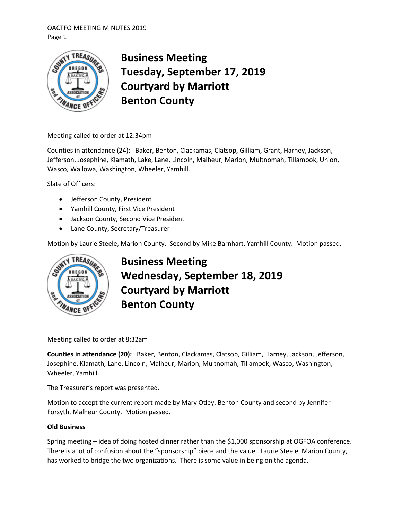## OACTFO MEETING MINUTES 2019 Page 1



# **Business Meeting Tuesday, September 17, 2019 Courtyard by Marriott Benton County**

Meeting called to order at 12:34pm

Counties in attendance (24): Baker, Benton, Clackamas, Clatsop, Gilliam, Grant, Harney, Jackson, Jefferson, Josephine, Klamath, Lake, Lane, Lincoln, Malheur, Marion, Multnomah, Tillamook, Union, Wasco, Wallowa, Washington, Wheeler, Yamhill.

Slate of Officers:

- Jefferson County, President
- Yamhill County, First Vice President
- Jackson County, Second Vice President
- Lane County, Secretary/Treasurer

Motion by Laurie Steele, Marion County. Second by Mike Barnhart, Yamhill County. Motion passed.



**Business Meeting Wednesday, September 18, 2019 Courtyard by Marriott Benton County**

Meeting called to order at 8:32am

**Counties in attendance (20):** Baker, Benton, Clackamas, Clatsop, Gilliam, Harney, Jackson, Jefferson, Josephine, Klamath, Lane, Lincoln, Malheur, Marion, Multnomah, Tillamook, Wasco, Washington, Wheeler, Yamhill.

The Treasurer's report was presented.

Motion to accept the current report made by Mary Otley, Benton County and second by Jennifer Forsyth, Malheur County. Motion passed.

## **Old Business**

Spring meeting – idea of doing hosted dinner rather than the \$1,000 sponsorship at OGFOA conference. There is a lot of confusion about the "sponsorship" piece and the value. Laurie Steele, Marion County, has worked to bridge the two organizations. There is some value in being on the agenda.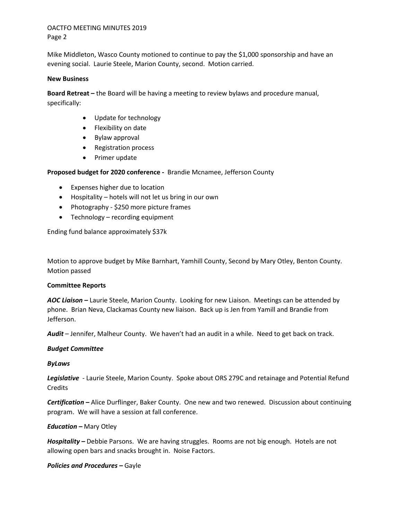#### OACTFO MEETING MINUTES 2019 Page 2

Mike Middleton, Wasco County motioned to continue to pay the \$1,000 sponsorship and have an evening social. Laurie Steele, Marion County, second. Motion carried.

#### **New Business**

**Board Retreat –** the Board will be having a meeting to review bylaws and procedure manual, specifically:

- Update for technology
- Flexibility on date
- Bylaw approval
- Registration process
- Primer update

**Proposed budget for 2020 conference -** Brandie Mcnamee, Jefferson County

- Expenses higher due to location
- Hospitality hotels will not let us bring in our own
- Photography \$250 more picture frames
- Technology recording equipment

Ending fund balance approximately \$37k

Motion to approve budget by Mike Barnhart, Yamhill County, Second by Mary Otley, Benton County. Motion passed

## **Committee Reports**

*AOC Liaison –* Laurie Steele, Marion County. Looking for new Liaison. Meetings can be attended by phone. Brian Neva, Clackamas County new liaison. Back up is Jen from Yamill and Brandie from Jefferson.

*Audit* – Jennifer, Malheur County. We haven't had an audit in a while. Need to get back on track.

## *Budget Committee*

## *ByLaws*

*Legislative* - Laurie Steele, Marion County. Spoke about ORS 279C and retainage and Potential Refund **Credits** 

*Certification –* Alice Durflinger, Baker County. One new and two renewed. Discussion about continuing program. We will have a session at fall conference.

## *Education –* Mary Otley

*Hospitality –* Debbie Parsons. We are having struggles. Rooms are not big enough. Hotels are not allowing open bars and snacks brought in. Noise Factors.

#### *Policies and Procedures –* Gayle